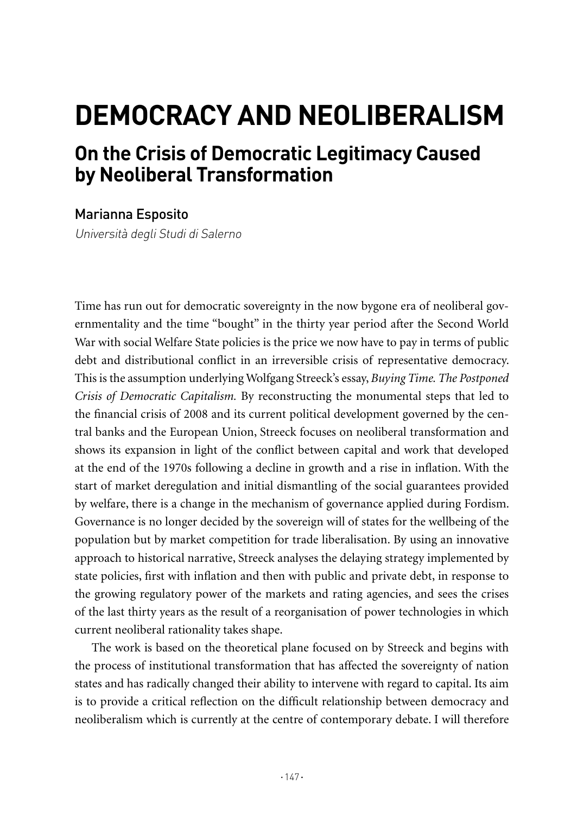## **DEMOCRACY AND NEOLIBERALISM**

## **On the Crisis of Democratic Legitimacy Caused by Neoliberal Transformation**

## Marianna Esposito

Università degli Studi di Salerno

Time has run out for democratic sovereignty in the now bygone era of neoliberal governmentality and the time "bought" in the thirty year period after the Second World War with social Welfare State policies is the price we now have to pay in terms of public debt and distributional conflict in an irreversible crisis of representative democracy. This is the assumption underlying Wolfgang Streeck's essay, *Buying Time. The Postponed Crisis of Democratic Capitalism.* By reconstructing the monumental steps that led to the financial crisis of 2008 and its current political development governed by the central banks and the European Union, Streeck focuses on neoliberal transformation and shows its expansion in light of the conflict between capital and work that developed at the end of the 1970s following a decline in growth and a rise in inflation. With the start of market deregulation and initial dismantling of the social guarantees provided by welfare, there is a change in the mechanism of governance applied during Fordism. Governance is no longer decided by the sovereign will of states for the wellbeing of the population but by market competition for trade liberalisation. By using an innovative approach to historical narrative, Streeck analyses the delaying strategy implemented by state policies, first with inflation and then with public and private debt, in response to the growing regulatory power of the markets and rating agencies, and sees the crises of the last thirty years as the result of a reorganisation of power technologies in which current neoliberal rationality takes shape.

The work is based on the theoretical plane focused on by Streeck and begins with the process of institutional transformation that has affected the sovereignty of nation states and has radically changed their ability to intervene with regard to capital. Its aim is to provide a critical reflection on the difficult relationship between democracy and neoliberalism which is currently at the centre of contemporary debate. I will therefore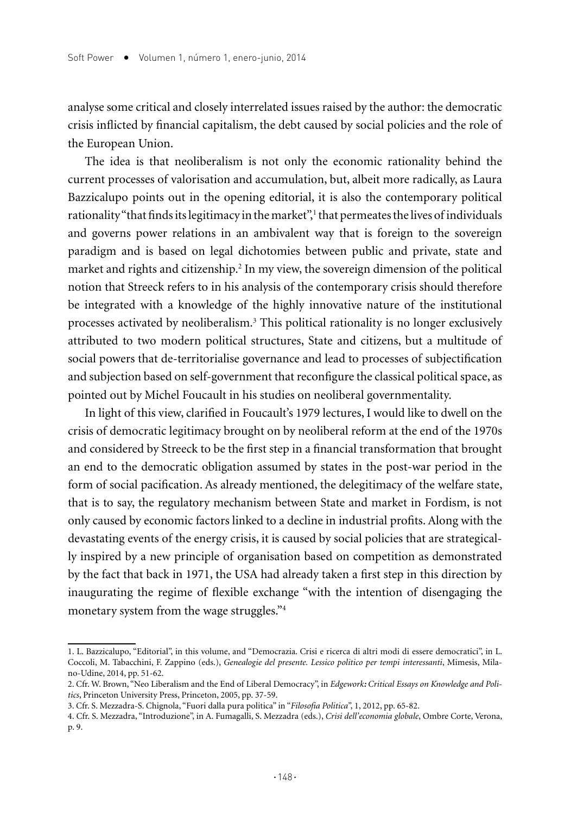analyse some critical and closely interrelated issues raised by the author: the democratic crisis inflicted by financial capitalism, the debt caused by social policies and the role of the European Union.

The idea is that neoliberalism is not only the economic rationality behind the current processes of valorisation and accumulation, but, albeit more radically, as Laura Bazzicalupo points out in the opening editorial, it is also the contemporary political rationality "that finds its legitimacy in the market",<sup>1</sup> that permeates the lives of individuals and governs power relations in an ambivalent way that is foreign to the sovereign paradigm and is based on legal dichotomies between public and private, state and market and rights and citizenship.<sup>2</sup> In my view, the sovereign dimension of the political notion that Streeck refers to in his analysis of the contemporary crisis should therefore be integrated with a knowledge of the highly innovative nature of the institutional processes activated by neoliberalism.3 This political rationality is no longer exclusively attributed to two modern political structures, State and citizens, but a multitude of social powers that de-territorialise governance and lead to processes of subjectification and subjection based on self-government that reconfigure the classical political space, as pointed out by Michel Foucault in his studies on neoliberal governmentality.

In light of this view, clarified in Foucault's 1979 lectures, I would like to dwell on the crisis of democratic legitimacy brought on by neoliberal reform at the end of the 1970s and considered by Streeck to be the first step in a financial transformation that brought an end to the democratic obligation assumed by states in the post-war period in the form of social pacification. As already mentioned, the delegitimacy of the welfare state, that is to say, the regulatory mechanism between State and market in Fordism, is not only caused by economic factors linked to a decline in industrial profits. Along with the devastating events of the energy crisis, it is caused by social policies that are strategically inspired by a new principle of organisation based on competition as demonstrated by the fact that back in 1971, the USA had already taken a first step in this direction by inaugurating the regime of flexible exchange "with the intention of disengaging the monetary system from the wage struggles."4

<sup>1.</sup> L. Bazzicalupo, "Editorial", in this volume, and "Democrazia. Crisi e ricerca di altri modi di essere democratici", in L. Coccoli, M. Tabacchini, F. Zappino (eds.), *Genealogie del presente. Lessico politico per tempi interessanti*, Mimesis, Milano-Udine, 2014, pp. 51-62.

<sup>2.</sup> Cfr. W. Brown, "Neo Liberalism and the End of Liberal Democracy", in *Edgework: Critical Essays on Knowledge and Politics*, Princeton University Press, Princeton, 2005, pp. 37-59.

<sup>3.</sup> Cfr. S. Mezzadra-S. Chignola, "Fuori dalla pura politica" in "*Filosofia Politica*", 1, 2012, pp. 65-82.

<sup>4.</sup> Cfr. S. Mezzadra, "Introduzione", in A. Fumagalli, S. Mezzadra (eds.), *Crisi dell'economia globale*, Ombre Corte, Verona, p. 9.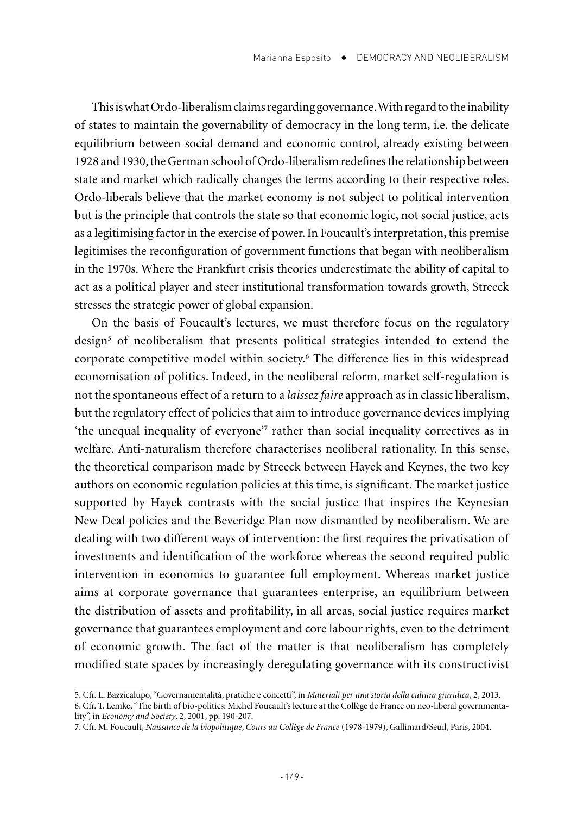This is what Ordo-liberalism claims regarding governance. With regard to the inability of states to maintain the governability of democracy in the long term, i.e. the delicate equilibrium between social demand and economic control, already existing between 1928 and 1930, the German school of Ordo-liberalism redefines the relationship between state and market which radically changes the terms according to their respective roles. Ordo-liberals believe that the market economy is not subject to political intervention but is the principle that controls the state so that economic logic, not social justice, acts as a legitimising factor in the exercise of power. In Foucault's interpretation, this premise legitimises the reconfiguration of government functions that began with neoliberalism in the 1970s. Where the Frankfurt crisis theories underestimate the ability of capital to act as a political player and steer institutional transformation towards growth, Streeck stresses the strategic power of global expansion.

On the basis of Foucault's lectures, we must therefore focus on the regulatory design<sup>5</sup> of neoliberalism that presents political strategies intended to extend the corporate competitive model within society.6 The difference lies in this widespread economisation of politics. Indeed, in the neoliberal reform, market self-regulation is not the spontaneous effect of a return to a *laissez faire* approach as in classic liberalism, but the regulatory effect of policies that aim to introduce governance devices implying 'the unequal inequality of everyone'7 rather than social inequality correctives as in welfare. Anti-naturalism therefore characterises neoliberal rationality. In this sense, the theoretical comparison made by Streeck between Hayek and Keynes, the two key authors on economic regulation policies at this time, is significant. The market justice supported by Hayek contrasts with the social justice that inspires the Keynesian New Deal policies and the Beveridge Plan now dismantled by neoliberalism. We are dealing with two different ways of intervention: the first requires the privatisation of investments and identification of the workforce whereas the second required public intervention in economics to guarantee full employment. Whereas market justice aims at corporate governance that guarantees enterprise, an equilibrium between the distribution of assets and profitability, in all areas, social justice requires market governance that guarantees employment and core labour rights, even to the detriment of economic growth. The fact of the matter is that neoliberalism has completely modified state spaces by increasingly deregulating governance with its constructivist

<sup>5.</sup> Cfr. L. Bazzicalupo, "Governamentalità, pratiche e concetti", in *Materiali per una storia della cultura giuridica*, 2, 2013. 6. Cfr. T. Lemke, "The birth of bio-politics: Michel Foucault's lecture at the Collège de France on neo-liberal governmenta-

lity", in *Economy and Society*, 2, 2001, pp. 190-207.

<sup>7.</sup> Cfr. M. Foucault, *Naissance de la biopolitique*, *Cours au Collège de France* (1978-1979), Gallimard/Seuil, Paris, 2004.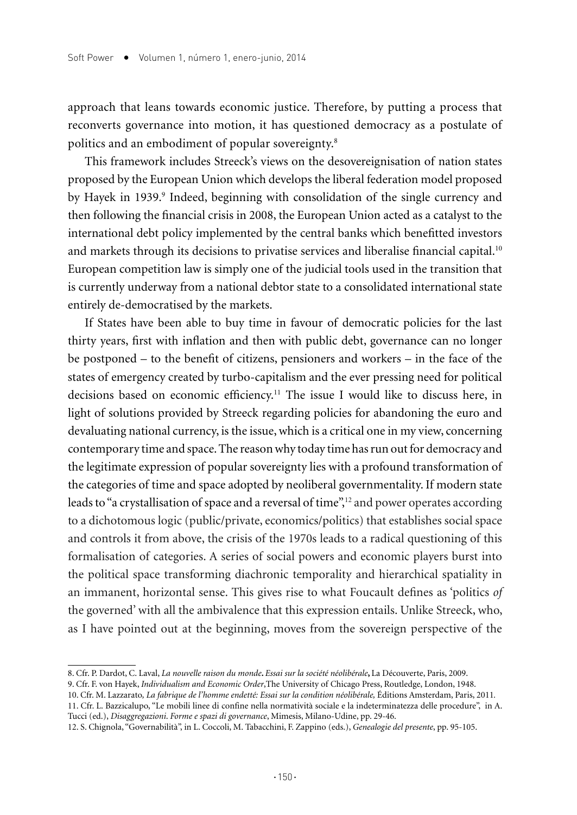approach that leans towards economic justice. Therefore, by putting a process that reconverts governance into motion, it has questioned democracy as a postulate of politics and an embodiment of popular sovereignty.8

This framework includes Streeck's views on the desovereignisation of nation states proposed by the European Union which develops the liberal federation model proposed by Hayek in 1939.<sup>9</sup> Indeed, beginning with consolidation of the single currency and then following the financial crisis in 2008, the European Union acted as a catalyst to the international debt policy implemented by the central banks which benefitted investors and markets through its decisions to privatise services and liberalise financial capital.<sup>10</sup> European competition law is simply one of the judicial tools used in the transition that is currently underway from a national debtor state to a consolidated international state entirely de-democratised by the markets.

If States have been able to buy time in favour of democratic policies for the last thirty years, first with inflation and then with public debt, governance can no longer be postponed – to the benefit of citizens, pensioners and workers – in the face of the states of emergency created by turbo-capitalism and the ever pressing need for political decisions based on economic efficiency.11 The issue I would like to discuss here, in light of solutions provided by Streeck regarding policies for abandoning the euro and devaluating national currency, is the issue, which is a critical one in my view, concerning contemporary time and space. The reason why today time has run out for democracy and the legitimate expression of popular sovereignty lies with a profound transformation of the categories of time and space adopted by neoliberal governmentality. If modern state leads to "a crystallisation of space and a reversal of time",<sup>12</sup> and power operates according to a dichotomous logic (public/private, economics/politics) that establishes social space and controls it from above, the crisis of the 1970s leads to a radical questioning of this formalisation of categories. A series of social powers and economic players burst into the political space transforming diachronic temporality and hierarchical spatiality in an immanent, horizontal sense. This gives rise to what Foucault defines as 'politics *of* the governed' with all the ambivalence that this expression entails. Unlike Streeck, who, as I have pointed out at the beginning, moves from the sovereign perspective of the

- 10. Cfr. M. Lazzarato*, La fabrique de l'homme endetté: Essai sur la condition néolibérale,* Éditions Amsterdam, Paris, 2011*.* 11. Cfr. L. Bazzicalupo, "Le mobili linee di confine nella normatività sociale e la indeterminatezza delle procedure", in A. Tucci (ed.), *Disaggregazioni*. *Forme e spazi di governance*, Mimesis, Milano-Udine, pp. 29-46.
- 12. S. Chignola, "Governabilità", in L. Coccoli, M. Tabacchini, F. Zappino (eds.), *Genealogie del presente*, pp. 95-105.

<sup>8.</sup> Cfr. P. Dardot, C. Laval, *La nouvelle raison du monde***.** *Essai sur la société néolibérale***,** La Découverte, Paris, 2009.

<sup>9.</sup> Cfr. F. von Hayek, *Individualism and Economic Order*,The University of Chicago Press, Routledge, London, 1948.